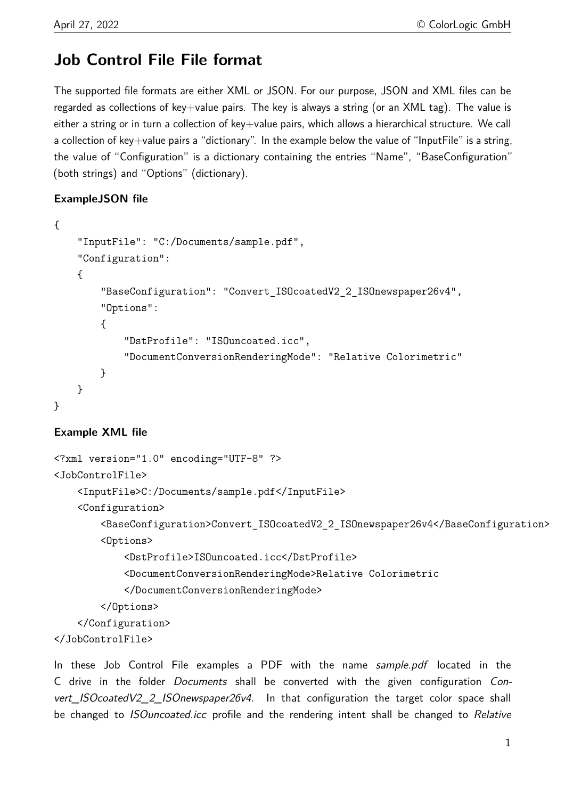# **Job Control File File format**

The supported file formats are either XML or JSON. For our purpose, JSON and XML files can be regarded as collections of key+value pairs. The key is always a string (or an XML tag). The value is either a string or in turn a collection of key+value pairs, which allows a hierarchical structure. We call a collection of key+value pairs a "dictionary". In the example below the value of "InputFile" is a string, the value of "Configuration" is a dictionary containing the entries "Name", "BaseConfiguration" (both strings) and "Options" (dictionary).

## **ExampleJSON file**

```
{
    "InputFile": "C:/Documents/sample.pdf",
    "Configuration":
    {
        "BaseConfiguration": "Convert_ISOcoatedV2_2_ISOnewspaper26v4",
        "Options":
        {
            "DstProfile": "ISOuncoated.icc",
            "DocumentConversionRenderingMode": "Relative Colorimetric"
        }
    }
}
```
## **Example XML file**

```
<?xml version="1.0" encoding="UTF-8" ?>
<JobControlFile>
    <InputFile>C:/Documents/sample.pdf</InputFile>
    <Configuration>
        <BaseConfiguration>Convert_ISOcoatedV2_2_ISOnewspaper26v4</BaseConfiguration>
        <Options>
            <DstProfile>ISOuncoated.icc</DstProfile>
            <DocumentConversionRenderingMode>Relative Colorimetric
            </DocumentConversionRenderingMode>
        </Options>
    </Configuration>
</JobControlFile>
```
In these Job Control File examples a PDF with the name sample.pdf located in the C drive in the folder Documents shall be converted with the given configuration Convert\_ISOcoatedV2\_2\_ISOnewspaper26v4. In that configuration the target color space shall be changed to *ISOuncoated.icc* profile and the rendering intent shall be changed to Relative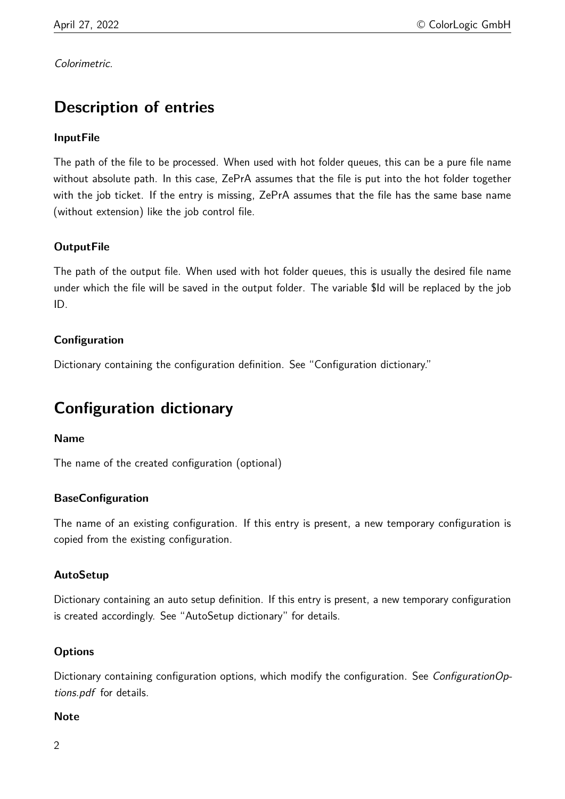Colorimetric.

# **Description of entries**

## **InputFile**

The path of the file to be processed. When used with hot folder queues, this can be a pure file name without absolute path. In this case, ZePrA assumes that the file is put into the hot folder together with the job ticket. If the entry is missing, ZePrA assumes that the file has the same base name (without extension) like the job control file.

## **OutputFile**

The path of the output file. When used with hot folder queues, this is usually the desired file name under which the file will be saved in the output folder. The variable \$Id will be replaced by the job ID.

## **Configuration**

Dictionary containing the configuration definition. See "Configuration dictionary."

# **Configuration dictionary**

#### **Name**

The name of the created configuration (optional)

#### **BaseConfiguration**

The name of an existing configuration. If this entry is present, a new temporary configuration is copied from the existing configuration.

#### **AutoSetup**

Dictionary containing an auto setup definition. If this entry is present, a new temporary configuration is created accordingly. See "AutoSetup dictionary" for details.

#### **Options**

Dictionary containing configuration options, which modify the configuration. See *ConfigurationOp*tions.pdf for details.

#### **Note**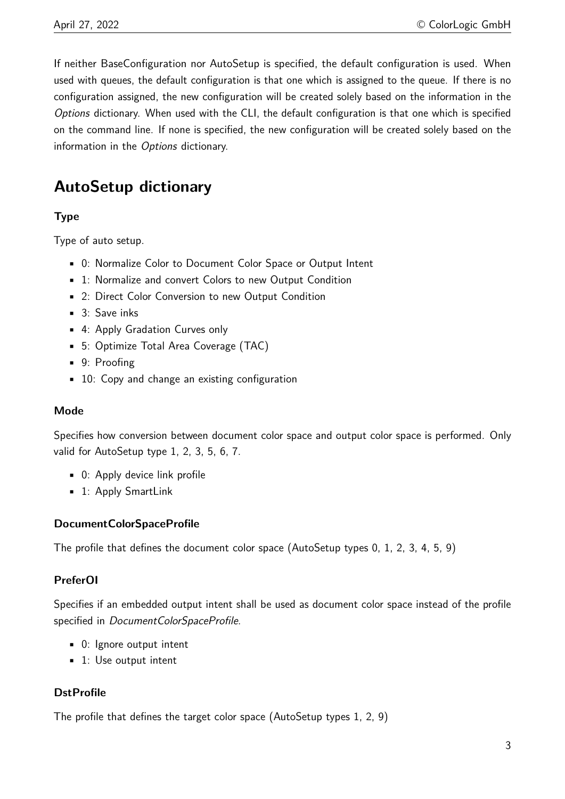If neither BaseConfiguration nor AutoSetup is specified, the default configuration is used. When used with queues, the default configuration is that one which is assigned to the queue. If there is no configuration assigned, the new configuration will be created solely based on the information in the Options dictionary. When used with the CLI, the default configuration is that one which is specified on the command line. If none is specified, the new configuration will be created solely based on the information in the Options dictionary.

## **AutoSetup dictionary**

### **Type**

Type of auto setup.

- 0: Normalize Color to Document Color Space or Output Intent
- 1: Normalize and convert Colors to new Output Condition
- 2: Direct Color Conversion to new Output Condition
- 3: Save inks
- 4: Apply Gradation Curves only
- 5: Optimize Total Area Coverage (TAC)
- 9: Proofing
- 10: Copy and change an existing configuration

#### **Mode**

Specifies how conversion between document color space and output color space is performed. Only valid for AutoSetup type 1, 2, 3, 5, 6, 7.

- 0: Apply device link profile
- 1: Apply SmartLink

#### **DocumentColorSpaceProfile**

The profile that defines the document color space (AutoSetup types 0, 1, 2, 3, 4, 5, 9)

#### **PreferOI**

Specifies if an embedded output intent shall be used as document color space instead of the profile specified in DocumentColorSpaceProfile.

- 0: Ignore output intent
- 1: Use output intent

#### **DstProfile**

The profile that defines the target color space (AutoSetup types 1, 2, 9)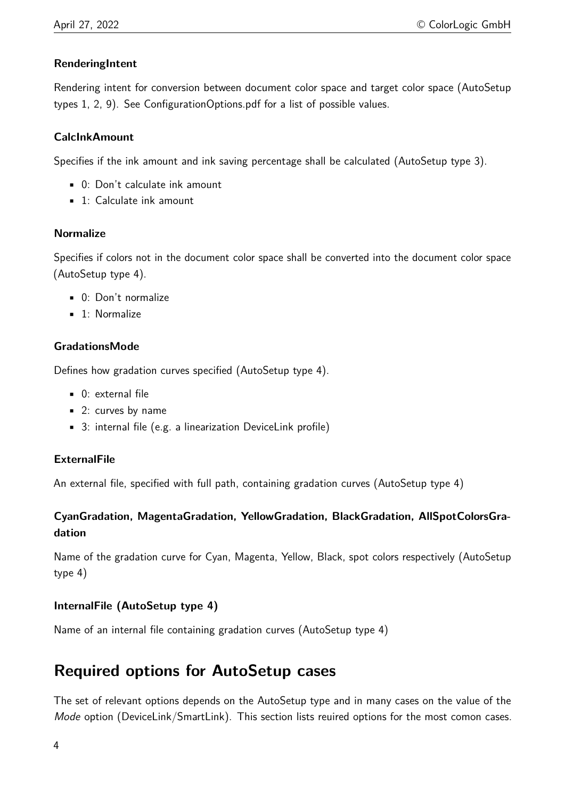### **RenderingIntent**

Rendering intent for conversion between document color space and target color space (AutoSetup types 1, 2, 9). See ConfigurationOptions.pdf for a list of possible values.

#### **CalcInkAmount**

Specifies if the ink amount and ink saving percentage shall be calculated (AutoSetup type 3).

- 0: Don't calculate ink amount
- 1: Calculate ink amount

#### **Normalize**

Specifies if colors not in the document color space shall be converted into the document color space (AutoSetup type 4).

- 0: Don't normalize
- **·** 1: Normalize

## **GradationsMode**

Defines how gradation curves specified (AutoSetup type 4).

- 0: external file
- 2: curves by name
- 3: internal file (e.g. a linearization DeviceLink profile)

#### **ExternalFile**

An external file, specified with full path, containing gradation curves (AutoSetup type 4)

## **CyanGradation, MagentaGradation, YellowGradation, BlackGradation, AllSpotColorsGradation**

Name of the gradation curve for Cyan, Magenta, Yellow, Black, spot colors respectively (AutoSetup type 4)

## **InternalFile (AutoSetup type 4)**

Name of an internal file containing gradation curves (AutoSetup type 4)

## **Required options for AutoSetup cases**

The set of relevant options depends on the AutoSetup type and in many cases on the value of the Mode option (DeviceLink/SmartLink). This section lists reuired options for the most comon cases.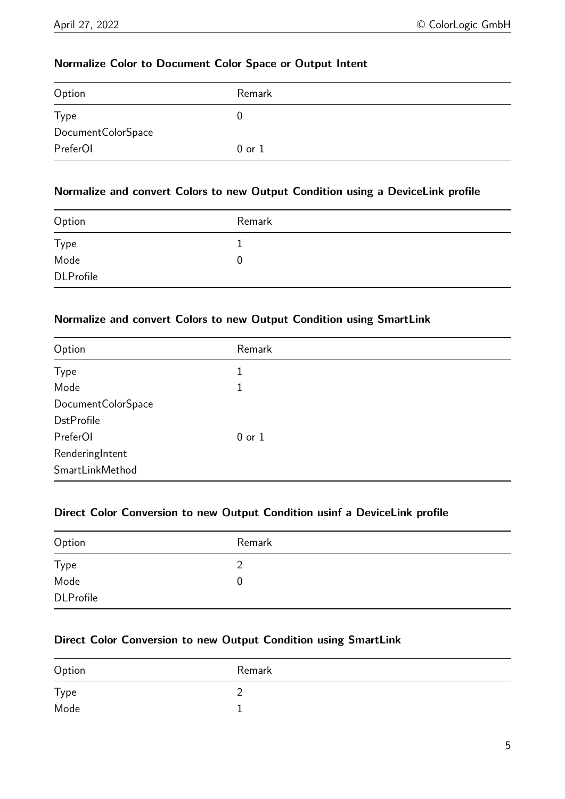#### **Normalize Color to Document Color Space or Output Intent**

| Option             | Remark     |
|--------------------|------------|
| <b>Type</b>        | U          |
| DocumentColorSpace |            |
| PreferOI           | $0$ or $1$ |

#### **Normalize and convert Colors to new Output Condition using a DeviceLink profile**

| Option           | Remark |
|------------------|--------|
| Type             |        |
| Mode             | 0      |
| <b>DLProfile</b> |        |

## **Normalize and convert Colors to new Output Condition using SmartLink**

| Option             | Remark     |
|--------------------|------------|
| <b>Type</b>        | 1          |
| Mode               | 1          |
| DocumentColorSpace |            |
| <b>DstProfile</b>  |            |
| PreferOI           | $0$ or $1$ |
| RenderingIntent    |            |
| SmartLinkMethod    |            |

#### **Direct Color Conversion to new Output Condition usinf a DeviceLink profile**

| Option           | Remark |  |
|------------------|--------|--|
| Type             |        |  |
| Mode             | 0      |  |
| <b>DLProfile</b> |        |  |

## **Direct Color Conversion to new Output Condition using SmartLink**

| Option | Remark |
|--------|--------|
| Type   | ∽      |
| Mode   |        |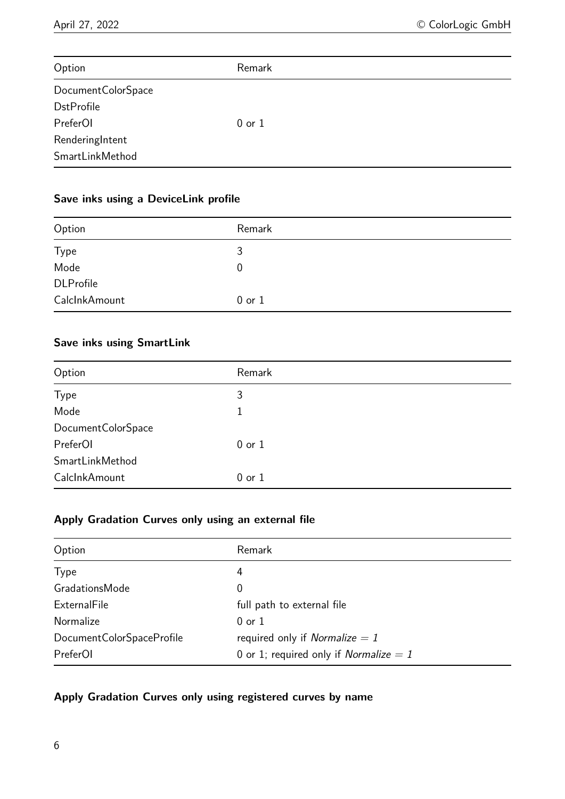| Option               | Remark     |  |
|----------------------|------------|--|
| Document Color Space |            |  |
| <b>DstProfile</b>    |            |  |
| PreferOI             | $0$ or $1$ |  |
| RenderingIntent      |            |  |
| SmartLinkMethod      |            |  |

## **Save inks using a DeviceLink profile**

| Option           | Remark           |
|------------------|------------------|
| <b>Type</b>      | 3                |
| Mode             | $\boldsymbol{0}$ |
| <b>DLProfile</b> |                  |
| CalclnkAmount    | $0$ or $1$       |

## **Save inks using SmartLink**

| Option             | Remark     |
|--------------------|------------|
| Type               | 3          |
| Mode               | 1          |
| DocumentColorSpace |            |
| PreferOI           | $0$ or $1$ |
| SmartLinkMethod    |            |
| CalcInkAmount      | $0$ or $1$ |

### **Apply Gradation Curves only using an external file**

| Option                    | Remark                                          |
|---------------------------|-------------------------------------------------|
| <b>Type</b>               | 4                                               |
| GradationsMode            | 0                                               |
| ExternalFile              | full path to external file                      |
| <b>Normalize</b>          | $0$ or $1$                                      |
| DocumentColorSpaceProfile | required only if <i>Normalize = 1</i>           |
| PreferOI                  | 0 or 1; required only if <i>Normalize</i> $= 1$ |

## **Apply Gradation Curves only using registered curves by name**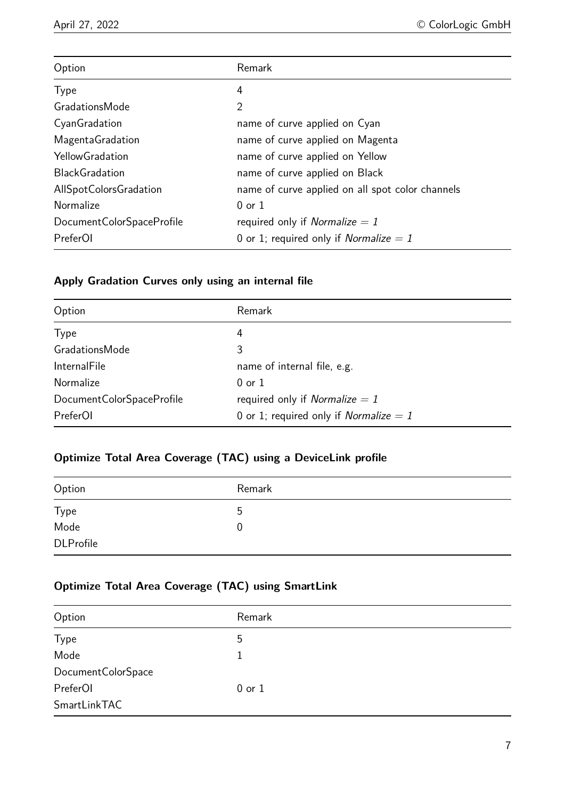| Option                    | Remark                                           |
|---------------------------|--------------------------------------------------|
| <b>Type</b>               | 4                                                |
| <b>GradationsMode</b>     | $\overline{2}$                                   |
| CyanGradation             | name of curve applied on Cyan                    |
| <b>MagentaGradation</b>   | name of curve applied on Magenta                 |
| <b>YellowGradation</b>    | name of curve applied on Yellow                  |
| <b>BlackGradation</b>     | name of curve applied on Black                   |
| AllSpotColorsGradation    | name of curve applied on all spot color channels |
| Normalize                 | $0$ or $1$                                       |
| DocumentColorSpaceProfile | required only if <i>Normalize = 1</i>            |
| PreferOI                  | 0 or 1; required only if <i>Normalize = 1</i>    |

## **Apply Gradation Curves only using an internal file**

| Option                       | Remark                                   |
|------------------------------|------------------------------------------|
| <b>Type</b>                  | 4                                        |
| GradationsMode               | 3                                        |
| <b>InternalFile</b>          | name of internal file, e.g.              |
| Normalize                    | $0$ or $1$                               |
| Document Color Space Profile | required only if <i>Normalize = 1</i>    |
| PreferOI                     | 0 or 1; required only if Normalize $= 1$ |

## **Optimize Total Area Coverage (TAC) using a DeviceLink profile**

| Option           | Remark |
|------------------|--------|
| Type             | ა      |
| Mode             | 0      |
| <b>DLProfile</b> |        |

## **Optimize Total Area Coverage (TAC) using SmartLink**

| Option             | Remark     |
|--------------------|------------|
| Type               | 5          |
| Mode               | 1          |
| DocumentColorSpace |            |
| PreferOI           | $0$ or $1$ |
| SmartLinkTAC       |            |